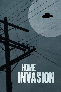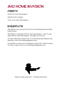# JM12 HOME INVASION

#### **CREDITS**

Written by Jason Morningstar

Edited by Steve Segedy

Cover art by Jason Morningstar

### BOILERPLATE

This Playset is an accessory for the *Fiasco* role-playing game by Bully Pulpit Games.

This Playset is copyright 2012 by Jason Morningstar. *Fiasco* is copyright 2009 by Jason Morningstar. All rights are reserved.

For more information about *Fiasco* or to download other Playsets and materials, visit [www.bullypulpitgames.com](http://www.bullypulpitgames.com).

If you'd like to create your own Playset or other *Fiasco*-related content, we'd like to help. Write us at [info@bullypulpitgames.com.](mailto:info%40bullypulpitgames.com?subject=)



"When you play, play *hard*." - Theodore Roosevelt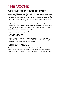# THE SCORE

## "WE LOVE POPPLETON TERRACE"

It's a nice middle class neighborhood with a nice mix of professional families and a nice, powerful homeowners association. Good people who get involved and know their neighbors. People who aren't afraid to tell you that the shade of blue you are painting your house is not *exactly* allowed by the association covenant.

But lately things have been unsettled around Poppleton Terrace property values are falling, crime is rising, long-time residents have been less than receptive to the suggestions of the standards committee, and now new people are moving in.

People who are not like us. *At all.*

## MOVIE NIGHT

*Invasion of the Body Snatchers, The Burbs, Neighbors, Weeds (TV), The Invaders (TV), Donnie Darko, American Beauty, The Twilight Zone (TV; see episodes The Shelter, The Monsters are Due on Maple Street)*

## FURTHER FIASCOS

*Home Invasion* shares a number of locations with other playsets, making it a lovely candidate for multi-session play. *Tales from Suburbia,* in the Fiasco book, is one. Sharp-eyed playset enthusiasts will note others.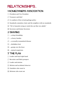# relationships...

### 1 HOMEOWNERS ASSOCIATION

- $\lceil \cdot \rceil$  President and Vice President
- $\Gamma$  Treasurer and thief
- $\overline{3}$  Co-authors of the revised garbage policy
- $\therefore$  Standards committee chair and the neighbor with no standards
- $\mathbb{E}$  "We're honestly trying to work this out like two adults"
- **11 Secretary and former Secretary**

#### 2 SHARING

- $\lceil \cdot \rceil$  ...a deep friendship
- $\Gamma$  ...a heavy burden
- $\ddot{\cdot}$  ... a sexually-transmitted disease
- $\boxed{\therefore}$  ...forbidden fruit
- $\mathbb{E}$  ... gossip over the fence
- **1** …mutual suspicions

#### 3 THE PLAN

- $\lceil \cdot \rceil$  Leader and loyal right hand
- $\Gamma$  Recruiter and likely prospect
- $\cdot$  Leader and minion
- $\boxed{\therefore}$  Minion and accidental observer
- $\mathbb{E}$  Outsiders who want in
- **1**: Minions who want out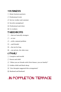#### 4 BUSINESS

- $\lceil \cdot \rceil$  Home business partners
- $\Gamma$  Professional rivals
- $\ddot{\cdot}$  Service worker and customer
- **::** Secretly unemployed
- $\mathbb{E}$  Professional and client
- **E**: Co-workers

#### 5 NEIGHBORS

- $\lceil \cdot \rceil$  …that are basically strangers
- $\boxed{\cdot}$  …at war
- $\ddot{\cdot}$  ...with a mutual problem
- $\boxed{\therefore}$  ... and friends!
- $\boxed{5}$  ...but not for long
- **11** ...one private, the other nosy

#### 6 FAMILY

- $\lceil \cdot \rceil$  Caregiver and invalid
- $\Gamma$  Parent and child
- $\overline{3}$  "When you are friends with Chris Nasser, you are family!"
- $\boxed{\therefore}$  Golden child and black sheep
- $\boxed{5}$  "Our therapist suggested this arrangement"
- **1** Husband and husband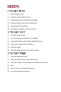# NEEDS...

### 1 TO GET INTO

- 1 …Chris Nasser's bed
- 2 …whatever *those* people are into
- $\ddot{\cdot}$  ...the Homeowners Association leadership
- $\boxed{\therefore}$  ...the house that seems sort of abandoned
- 5 …somebody else's business
- **11** ...the library, to figure out what you saw

## 2 TO GET OUT

- 1 …of Chris Nasser's bed
- $\cdot$  ... of an irritating commitment to a neighbor
- $\ddot{\cdot}$  ...your grill and have the whole neighborhood over
- $\boxed{\therefore}$  ... of the lawn and garden committee
- $\mathbb{E}$  ...your gun again
- **11** ... with the Homeowners Association lockbox

## 3 TO GET FREE

- $\lceil \cdot \rceil$  ... from an unpleasant debt
- 2 …from the homeowners association's rules
- $\overline{3}$  ... from the memory of something you should not have seen
- $\boxed{\therefore}$  ...beer
- 5 …advice from a licensed professional
- **11** ... of a relationship turned sour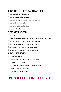### 4 TO GET THE PLAN IN MOTION

- $\lceil \cdot \rceil$  ...by aggressively blending in
- $\Gamma$  ...by acquiring a final recruit
- $\overline{3}$  ...by subverting the Homeowners Association
- $\boxed{\therefore}$  ...by replacing the leader
- $\mathbb{E}$  ...by completing final assembly
- $\boxed{ii}$  ...by burying the evidence

### 5 TO GET OVER

- $\lceil \cdot \rceil$  …the accident
- 2 …100 signatures on your petition to theHomeowners Association
- $\ddot{\cdot}$  ... seeing something you should never have seen
- $\therefore$  ...the embarrassment of living next to a pig sty
- 5 …being left out, betrayed and abandoned
- **11** …nameless fear that may soon have a name

#### 6 TO GET EVEN

- 1 …with *those* people
- **1.** …*more* support for the revised garbage policy
- $\ddot{\cdot}$  ...by spreading rumors
- $\mathbb{G}$  ... hedges, even if you have to trim them yourself
- $\boxed{5}$  ...with the whole Nasser family
- $\boxed{ii}$  ...by blowing the lid off this thing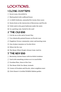# LOCATIONS...

#### 1 CLOSE QUARTERS

- $\lceil \cdot \rceil$  Secret room, drywalled in
- $\Gamma$  Shed packed with cardboard boxes
- $\overline{3}$  A child's bedroom, untouched for twenty three years
- $\therefore$  Storm drain at the intersection of Breezeway and Piccolo
- $\mathbb{E}$  Toilet tank in the guest bathroom under the stairs
- $\mathbf{F}$  In a packing crate, buried in the yard

#### 2 THE OLD END

- $\lceil \cdot \rceil$  Cul-de-sac at the end of Avanti Way
- $\Gamma$  Two identically-painted houses on Piccolo Lane
- $\cdot$  Poppleton Terrace community center and meeting room
- **1.** Out-of-place mansion on Vecchio Drive
- $\mathbb{E}$  Where the fire was
- **11** The House Where People Always Come And Go

#### 3 THE NEW END

- $\lceil \cdot \rceil$  Breezeway Avenue house with tin-foiled windows
- $\Gamma$  Yard with something written on it in weed killer
- $\overline{3}$  Freedom Place, Street of the Year
- $\boxed{\therefore}$  The House With Too Many Animals
- $\mathbb{E}$  Corner of Freedom and Piccolo, where neighbors meet
- **11 Chris Nasser's Certified Wildlife Habitat garden**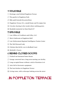#### 4 WALKABLE

- $\lceil \cdot \rceil$  Drainage canal behind Poppleton Terrace
- $\Gamma$  The gazebo in Poppleton Park
- $\cdot$  Bike path beneath the powerlines
- **::** Poppleton Terrace III, a model home and 56 empty lots
- $\mathbb{E}$  Circular clearing in the woods where nothing grows
- **11 Roadside memorial on State Road 217**

#### 5 DRIVABLE

- $\lceil \cdot \rceil$  Law Offices of Cockburn and Lilley, LLC
- $\Gamma$  Men's bathroom at Poppleton Mall
- $\ddot{\cdot}$  Law Enforcement Regional Intelligence Fusion Center
- $\boxed{\therefore}$  The Well Dressed Lady
- **5.** Chicken Hut #6310, over in Redbud Court
- **1** Michelle's Tavern

#### 6 BEHIND CLOSED DOORS

- $\lceil \cdot \rceil$  Tricked-out basement home theater
- $\Gamma$  Garage converted into a long-term nursing care facility
- $\ddot{\cdot}$  Long-occupied house without a stick of furniture in it
- $\boxed{\therefore}$  Attic full of electronic equipment
- $\mathbb{E}$  The best kitchen in Poppleton Terrace
- **11** Living room, with a telescope looking across the street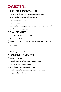# OBJECTS...

### 1 NEIGHBORHOOD WATCH

- $\lceil \cdot \rceil$  Sweaty baseball cap with something tucked in the brim
- $\cdot$  Aegis brand Lineman's telephone handset
- $\overline{3}$  Municipal garbage truck
- **::** Dave Weatherford
- 5 Annotated copy of Major Donald Keyhoe's *Flying Saucers Are Real*
- $\mathbf{F}$  A wide open wireless router

#### 2 PLAN RELATED

- $\lceil \cdot \rceil$  Calcination chamber, fully prepared
- $\Gamma$  Inert Wave Shaper

3 Outline of Plan written in *Frühneuhochdeutsch*, Early New High German

- $\mathbb{R}$  Object 7721
- **5**: Sorcha-1 and Sorcha-2
- **EXECUTE:** Velvet drapes, with inky wrongness beyond

#### 3 HOME IMPROVEMENT

- $\lceil \cdot \rceil$  Uninstalled hot tub
- $\Gamma$  Precisely manicured but vaguely offensive topiary
- $\overline{3}$  Stihl 10-foot pole pruner chainsaw
- $\mathbb{R}$  Home theater components still in boxes
- $\mathbb{E}$  Shrink-wrapped block containing one million dollars
- **1** DeWalt cordless nail gun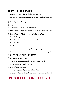### 4 HOME DEGREDATION

 $\lceil \cdot \rceil$  Remains of Ford Probe, on blocks, in front yard

 $\Gamma$  One liter of Tetrabutylammonium Hydroxide/methanol solution, packed in nitrogen

- $\overline{3}$  Framed portrait of Adolph Hitler
- $\boxed{::}$  Corpse of a relative
- $\mathbb{E}$  Cracked foundation filled with termites
- **11** Wagner power sprayer and buckets of Chinese Red exterior paint

## 5 DISTANT AND PROFESSIONAL

- $\lceil \cdot \rceil$  Federal wiretap and search warrant
- $\cdot$  Unmailed letter to the Homeowners Association
- $\Gamma$  Green Touch Landscaping truck
- $\boxed{\therefore}$  Foreclosure notice
- $\mathbb{E}$  Surveyor's stakes on the wrong side of a property line
- **FEE** Discrete weatherproof case attached to something with magnets

#### 6 UP CLOSE AND PERSONAL

- $\lceil \cdot \rceil$  Disturbing Japanese import
- $\Gamma$  Shotgun with home-made silencer taped to the barrel
- $\Gamma$  Dental appliance, partially melted
- $\boxed{\therefore}$  Lock-defeating bump key
- $\mathbb{E}$  100 hours of grainy digital surveillance data
- **EXECUTE:** Love note written on the back of a Green Touch Landscaping bill